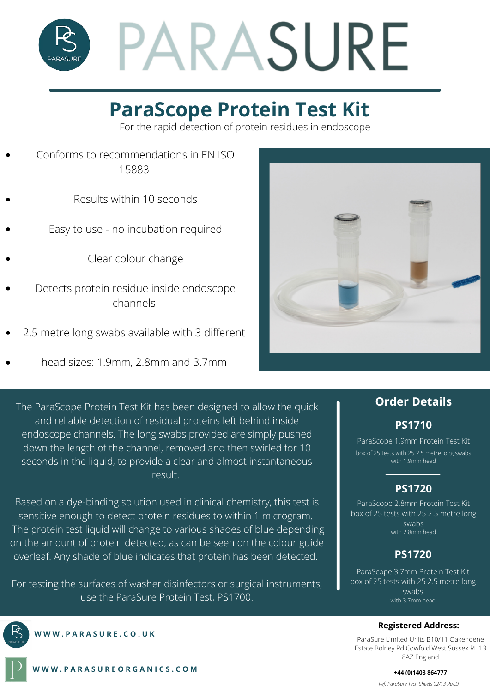

## **ParaScope Protein Test Kit**

For the rapid detection of protein residues in endoscope

- Conforms to recommendations in EN ISO 15883
	- Results within 10 seconds
- Easy to use no incubation required
	- Clear colour change
- Detects protein residue inside endoscope channels
- 2.5 metre long swabs available with 3 different
- head sizes: 1.9mm, 2.8mm and 3.7mm

The ParaScope Protein Test Kit has been designed to allow the quick and reliable detection of residual proteins left behind inside endoscope channels. The long swabs provided are simply pushed down the length of the channel, removed and then swirled for 10 seconds in the liquid, to provide a clear and almost instantaneous result.

Based on a dye-binding solution used in clinical chemistry, this test is sensitive enough to detect protein residues to within 1 microgram. The protein test liquid will change to various shades of blue depending on the amount of protein detected, as can be seen on the colour guide overleaf. Any shade of blue indicates that protein has been detected.

For testing the surfaces of washer disinfectors or surgical instruments, use the ParaSure Protein Test, PS1700.



**W W W . P A R A S U R E . C O . U K**



#### **Order Details**

#### **PS1710**

ParaScope 1.9mm Protein Test Kit box of 25 tests with 25 2.5 metre long swabs with 1.9mm head

### **PS1720**

ParaScope 2.8mm Protein Test Kit box of 25 tests with 25 2.5 metre long swabs with 2.8mm head

### **PS1720**

ParaScope 3.7mm Protein Test Kit box of 25 tests with 25 2.5 metre long swabs with 3.7mm head

#### **Registered Address:**

ParaSure Limited Units B10/11 Oakendene Estate Bolney Rd Cowfold West Sussex RH13 8AZ England

**W W W . P A R A S U R E O R G A N I C S . C O M**

*Ref: ParaSure Tech Sheets 02/13 Rev.D* **+44 (0)1403 864777**